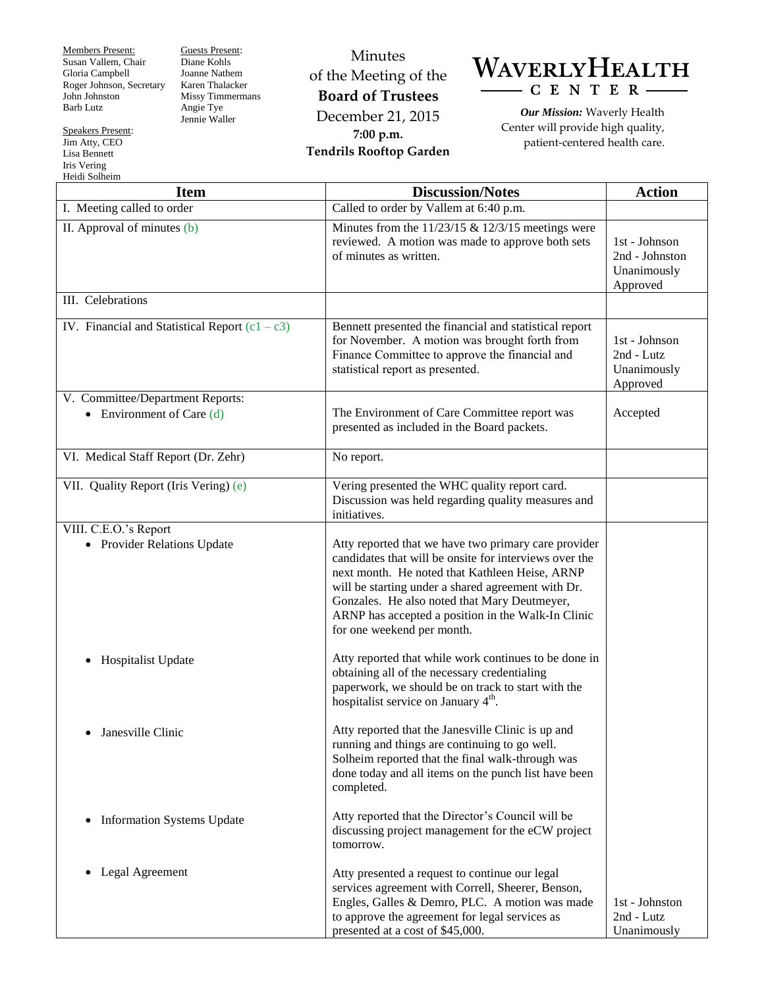Members Present: Susan Vallem, Chair Gloria Campbell Roger Johnson, Secretary John Johnston Barb Lutz

Speakers Present: Jim Atty, CEO Lisa Bennett Iris Vering

Guests Present: Diane Kohls Joanne Nathem Karen Thalacker Missy Timmermans Angie Tye Jennie Waller

Minutes of the Meeting of the **Board of Trustees** December 21, 2015 **7:00 p.m. Tendrils Rooftop Garden**



*Our Mission:* Waverly Health Center will provide high quality, patient-centered health care.

| Heidi Solheim                                                   |                                                                                                                                                                                                                                                                                                                                                            |                                                            |  |
|-----------------------------------------------------------------|------------------------------------------------------------------------------------------------------------------------------------------------------------------------------------------------------------------------------------------------------------------------------------------------------------------------------------------------------------|------------------------------------------------------------|--|
| <b>Item</b>                                                     | <b>Discussion/Notes</b>                                                                                                                                                                                                                                                                                                                                    | <b>Action</b>                                              |  |
| I. Meeting called to order                                      | Called to order by Vallem at 6:40 p.m.                                                                                                                                                                                                                                                                                                                     |                                                            |  |
| II. Approval of minutes (b)                                     | Minutes from the $11/23/15$ & $12/3/15$ meetings were<br>reviewed. A motion was made to approve both sets<br>of minutes as written.                                                                                                                                                                                                                        | 1st - Johnson<br>2nd - Johnston<br>Unanimously<br>Approved |  |
| III. Celebrations                                               |                                                                                                                                                                                                                                                                                                                                                            |                                                            |  |
| IV. Financial and Statistical Report $(c1 - c3)$                | Bennett presented the financial and statistical report<br>for November. A motion was brought forth from<br>Finance Committee to approve the financial and<br>statistical report as presented.                                                                                                                                                              | 1st - Johnson<br>2nd - Lutz<br>Unanimously<br>Approved     |  |
| V. Committee/Department Reports:<br>• Environment of Care $(d)$ | The Environment of Care Committee report was<br>presented as included in the Board packets.                                                                                                                                                                                                                                                                | Accepted                                                   |  |
| VI. Medical Staff Report (Dr. Zehr)                             | No report.                                                                                                                                                                                                                                                                                                                                                 |                                                            |  |
| VII. Quality Report (Iris Vering) (e)                           | Vering presented the WHC quality report card.<br>Discussion was held regarding quality measures and<br>initiatives.                                                                                                                                                                                                                                        |                                                            |  |
| VIII. C.E.O.'s Report<br>• Provider Relations Update            | Atty reported that we have two primary care provider<br>candidates that will be onsite for interviews over the<br>next month. He noted that Kathleen Heise, ARNP<br>will be starting under a shared agreement with Dr.<br>Gonzales. He also noted that Mary Deutmeyer,<br>ARNP has accepted a position in the Walk-In Clinic<br>for one weekend per month. |                                                            |  |
| <b>Hospitalist Update</b><br>$\bullet$                          | Atty reported that while work continues to be done in<br>obtaining all of the necessary credentialing<br>paperwork, we should be on track to start with the<br>hospitalist service on January 4 <sup>th</sup> .                                                                                                                                            |                                                            |  |
| Janesville Clinic                                               | Atty reported that the Janesville Clinic is up and<br>running and things are continuing to go well.<br>Solheim reported that the final walk-through was<br>done today and all items on the punch list have been<br>completed.                                                                                                                              |                                                            |  |
| <b>Information Systems Update</b><br>$\bullet$                  | Atty reported that the Director's Council will be<br>discussing project management for the eCW project<br>tomorrow.                                                                                                                                                                                                                                        |                                                            |  |
| Legal Agreement<br>$\bullet$                                    | Atty presented a request to continue our legal<br>services agreement with Correll, Sheerer, Benson,<br>Engles, Galles & Demro, PLC. A motion was made<br>to approve the agreement for legal services as<br>presented at a cost of \$45,000.                                                                                                                | 1st - Johnston<br>2nd - Lutz<br>Unanimously                |  |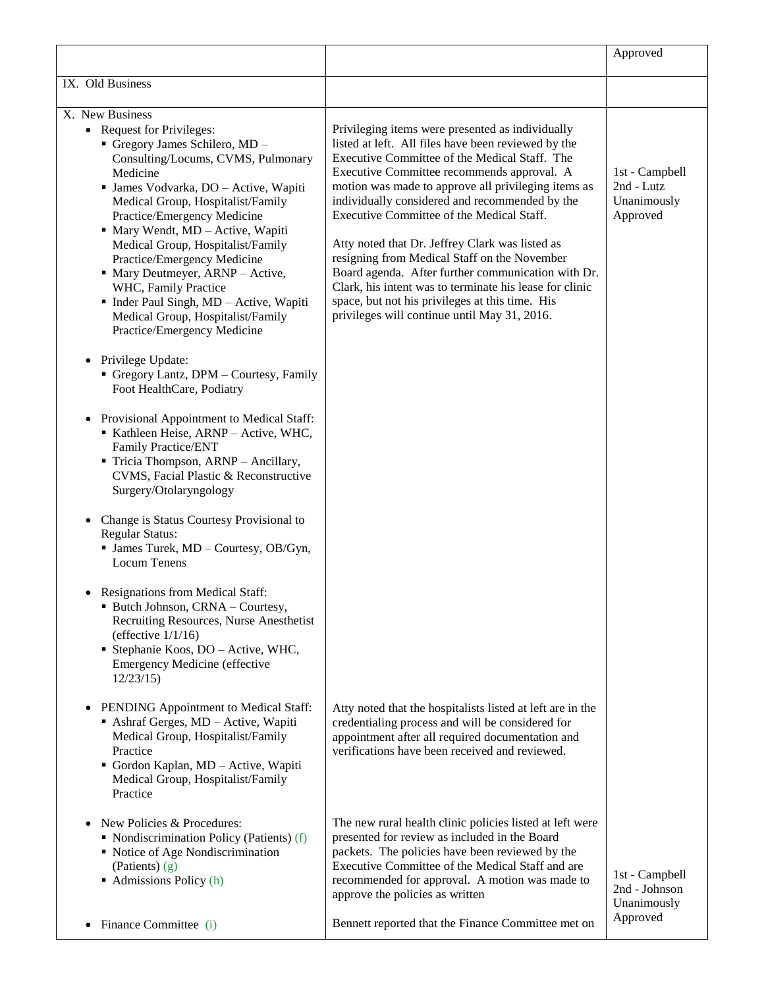|                                                                                                                                                                                                                                                                                                                                                                                                                                                                                                                 |                                                                                                                                                                                                                                                                                                                                                                                                                                                                                                                                                                          | Approved                                                |
|-----------------------------------------------------------------------------------------------------------------------------------------------------------------------------------------------------------------------------------------------------------------------------------------------------------------------------------------------------------------------------------------------------------------------------------------------------------------------------------------------------------------|--------------------------------------------------------------------------------------------------------------------------------------------------------------------------------------------------------------------------------------------------------------------------------------------------------------------------------------------------------------------------------------------------------------------------------------------------------------------------------------------------------------------------------------------------------------------------|---------------------------------------------------------|
| IX. Old Business                                                                                                                                                                                                                                                                                                                                                                                                                                                                                                |                                                                                                                                                                                                                                                                                                                                                                                                                                                                                                                                                                          |                                                         |
| X. New Business<br>• Request for Privileges:<br>Gregory James Schilero, MD -                                                                                                                                                                                                                                                                                                                                                                                                                                    | Privileging items were presented as individually<br>listed at left. All files have been reviewed by the                                                                                                                                                                                                                                                                                                                                                                                                                                                                  |                                                         |
| Consulting/Locums, CVMS, Pulmonary<br>Medicine<br>· James Vodvarka, DO - Active, Wapiti<br>Medical Group, Hospitalist/Family<br>Practice/Emergency Medicine<br>· Mary Wendt, MD - Active, Wapiti<br>Medical Group, Hospitalist/Family<br>Practice/Emergency Medicine<br>• Mary Deutmeyer, ARNP - Active,<br>WHC, Family Practice<br>• Inder Paul Singh, MD - Active, Wapiti<br>Medical Group, Hospitalist/Family<br>Practice/Emergency Medicine<br>• Privilege Update:<br>Gregory Lantz, DPM - Courtesy, Family | Executive Committee of the Medical Staff. The<br>Executive Committee recommends approval. A<br>motion was made to approve all privileging items as<br>individually considered and recommended by the<br>Executive Committee of the Medical Staff.<br>Atty noted that Dr. Jeffrey Clark was listed as<br>resigning from Medical Staff on the November<br>Board agenda. After further communication with Dr.<br>Clark, his intent was to terminate his lease for clinic<br>space, but not his privileges at this time. His<br>privileges will continue until May 31, 2016. | 1st - Campbell<br>2nd - Lutz<br>Unanimously<br>Approved |
| Foot HealthCare, Podiatry<br>• Provisional Appointment to Medical Staff:<br>Kathleen Heise, ARNP - Active, WHC,<br>Family Practice/ENT<br>Tricia Thompson, ARNP - Ancillary,<br>CVMS, Facial Plastic & Reconstructive<br>Surgery/Otolaryngology                                                                                                                                                                                                                                                                 |                                                                                                                                                                                                                                                                                                                                                                                                                                                                                                                                                                          |                                                         |
| Change is Status Courtesy Provisional to<br><b>Regular Status:</b><br>• James Turek, MD - Courtesy, OB/Gyn,<br><b>Locum Tenens</b>                                                                                                                                                                                                                                                                                                                                                                              |                                                                                                                                                                                                                                                                                                                                                                                                                                                                                                                                                                          |                                                         |
| • Resignations from Medical Staff:<br>Butch Johnson, CRNA - Courtesy,<br>Recruiting Resources, Nurse Anesthetist<br>(effective $1/1/16$ )<br>• Stephanie Koos, DO - Active, WHC,<br><b>Emergency Medicine (effective</b><br>12/23/15                                                                                                                                                                                                                                                                            |                                                                                                                                                                                                                                                                                                                                                                                                                                                                                                                                                                          |                                                         |
| PENDING Appointment to Medical Staff:<br>$\bullet$<br>Ashraf Gerges, MD - Active, Wapiti<br>Medical Group, Hospitalist/Family<br>Practice<br>Gordon Kaplan, MD - Active, Wapiti<br>Medical Group, Hospitalist/Family<br>Practice                                                                                                                                                                                                                                                                                | Atty noted that the hospitalists listed at left are in the<br>credentialing process and will be considered for<br>appointment after all required documentation and<br>verifications have been received and reviewed.                                                                                                                                                                                                                                                                                                                                                     |                                                         |
| New Policies & Procedures:<br>• Nondiscrimination Policy (Patients) (f)<br>• Notice of Age Nondiscrimination<br>(Patients) $(g)$<br>$\blacksquare$ Admissions Policy (h)                                                                                                                                                                                                                                                                                                                                        | The new rural health clinic policies listed at left were<br>presented for review as included in the Board<br>packets. The policies have been reviewed by the<br>Executive Committee of the Medical Staff and are<br>recommended for approval. A motion was made to<br>approve the policies as written                                                                                                                                                                                                                                                                    | 1st - Campbell<br>2nd - Johnson<br>Unanimously          |
| Finance Committee (i)<br>$\bullet$                                                                                                                                                                                                                                                                                                                                                                                                                                                                              | Bennett reported that the Finance Committee met on                                                                                                                                                                                                                                                                                                                                                                                                                                                                                                                       | Approved                                                |